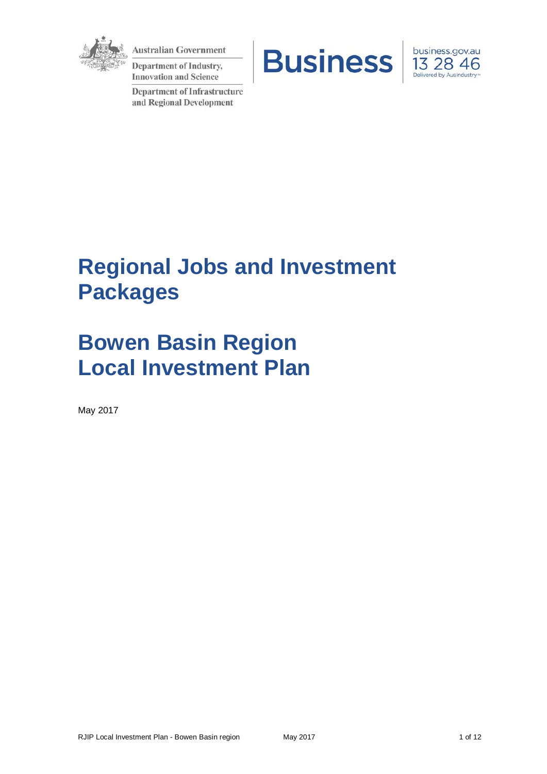

**Australian Government** 

**Department of Industry, Innovation and Science** 

**Department of Infrastructure** and Regional Development





# **Regional Jobs and Investment Packages**

# **Bowen Basin Region Local Investment Plan**

May 2017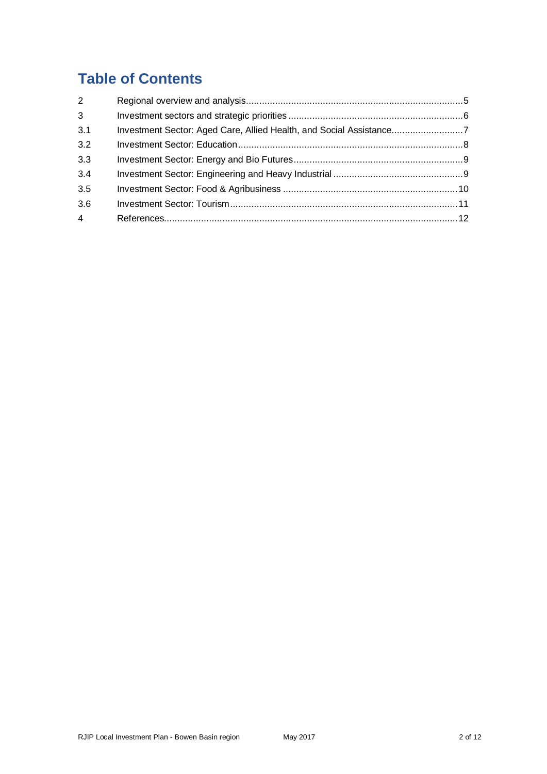# **Table of Contents**

| 2              |                                                                    |  |
|----------------|--------------------------------------------------------------------|--|
| $\mathbf{3}$   |                                                                    |  |
| 3.1            | Investment Sector: Aged Care, Allied Health, and Social Assistance |  |
| 3.2            |                                                                    |  |
| 3.3            |                                                                    |  |
| 3.4            |                                                                    |  |
| 3.5            |                                                                    |  |
| 3.6            |                                                                    |  |
| $\overline{4}$ |                                                                    |  |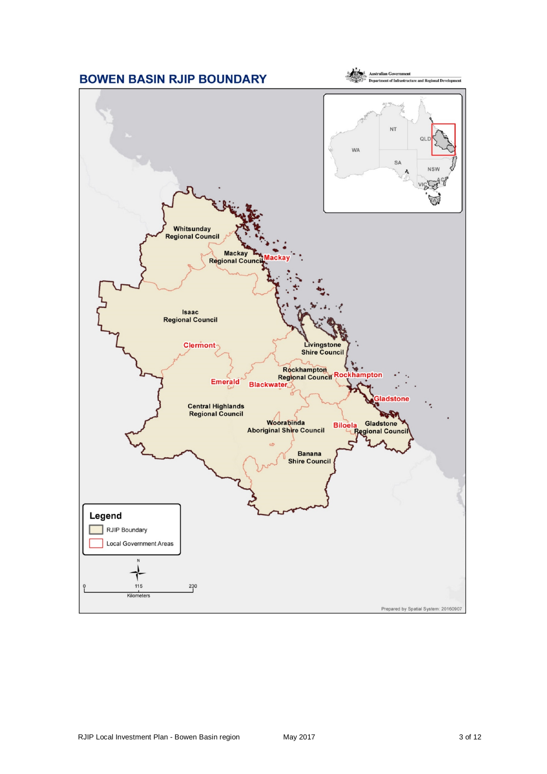<span id="page-2-2"></span><span id="page-2-1"></span><span id="page-2-0"></span>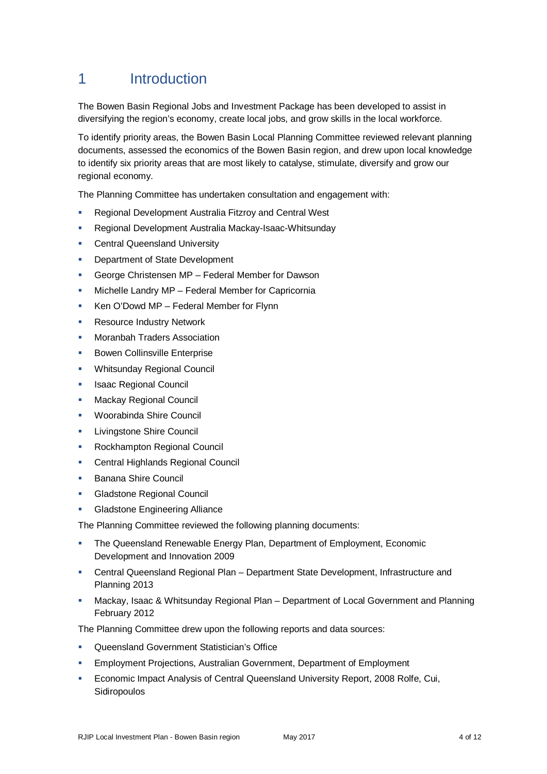# 1 Introduction

The Bowen Basin Regional Jobs and Investment Package has been developed to assist in diversifying the region's economy, create local jobs, and grow skills in the local workforce.

To identify priority areas, the Bowen Basin Local Planning Committee reviewed relevant planning documents, assessed the economics of the Bowen Basin region, and drew upon local knowledge to identify six priority areas that are most likely to catalyse, stimulate, diversify and grow our regional economy.

The Planning Committee has undertaken consultation and engagement with:

- Regional Development Australia Fitzroy and Central West
- Regional Development Australia Mackay-Isaac-Whitsunday
- <span id="page-3-0"></span>Central Queensland University
- <span id="page-3-2"></span><span id="page-3-1"></span>**Department of State Development**
- George Christensen MP Federal Member for Dawson
- <span id="page-3-3"></span>Michelle Landry MP – Federal Member for Capricornia
- **Ken O'Dowd MP Federal Member for Flynn**
- **Resource Industry Network**
- Moranbah Traders Association
- **Bowen Collinsville Enterprise**
- Whitsunday Regional Council
- Isaac Regional Council
- Mackay Regional Council
- Woorabinda Shire Council
- Livingstone Shire Council
- Rockhampton Regional Council
- Central Highlands Regional Council
- **Banana Shire Council**
- **Gladstone Regional Council**
- **Gladstone Engineering Alliance**

The Planning Committee reviewed the following planning documents:

- The Queensland Renewable Energy Plan, Department of Employment, Economic Development and Innovation 2009
- Central Queensland Regional Plan Department State Development, Infrastructure and Planning 2013
- Mackay, Isaac & Whitsunday Regional Plan Department of Local Government and Planning February 2012

The Planning Committee drew upon the following reports and data sources:

- Queensland Government Statistician's Office
- Employment Projections, Australian Government, Department of Employment
- Economic Impact Analysis of Central Queensland University Report, 2008 Rolfe, Cui, Sidiropoulos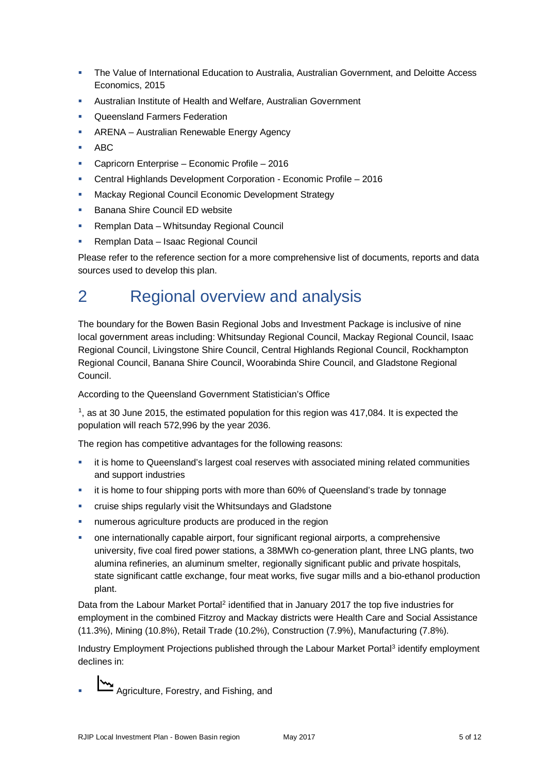- The Value of International Education to Australia, Australian Government, and Deloitte Access Economics, 2015
- Australian Institute of Health and Welfare, Australian Government
- **Queensland Farmers Federation**
- **-** ARENA Australian Renewable Energy Agency
- $ABC$
- Capricorn Enterprise Economic Profile 2016
- Central Highlands Development Corporation Economic Profile 2016
- **Mackay Regional Council Economic Development Strategy**
- **Banana Shire Council ED website**
- **Remplan Data Whitsunday Regional Council**
- **Remplan Data Isaac Regional Council**

Please refer to the reference section for a more comprehensive list of documents, reports and data sources used to develop this plan.

# <span id="page-4-0"></span>2 Regional overview and analysis

<span id="page-4-1"></span>The boundary for the Bowen Basin Regional Jobs and Investment Package is inclusive of nine local government areas including: Whitsunday Regional Council, Mackay Regional Council, Isaac Regional Council, Livingstone Shire Council, Central Highlands Regional Council, Rockhampton Regional Council, Banana Shire Council, Woorabinda Shire Council, and Gladstone Regional Council.

According to the Queensland Government Statistician's Office

 $1$ , as at 30 June 2015, the estimated population for this region was 417,084. It is expected the population will reach 572,996 by the year 2036.

The region has competitive advantages for the following reasons:

- it is home to Queensland's largest coal reserves with associated mining related communities and support industries
- it is home to four shipping ports with more than 60% of Queensland's trade by tonnage
- cruise ships regularly visit the Whitsundays and Gladstone
- numerous agriculture products are produced in the region
- one internationally capable airport, four significant regional airports, a comprehensive university, five coal fired power stations, a 38MWh co-generation plant, three LNG plants, two alumina refineries, an aluminum smelter, regionally significant public and private hospitals, state significant cattle exchange, four meat works, five sugar mills and a bio-ethanol production plant.

Data from the Labour Market Portal<sup>[2](#page-2-1)</sup> identified that in January 2017 the top five industries for employment in the combined Fitzroy and Mackay districts were Health Care and Social Assistance (11.3%), Mining (10.8%), Retail Trade (10.2%), Construction (7.9%), Manufacturing (7.8%).

Industry Employment Projections published through the Labour Market Portal<sup>[3](#page-2-2)</sup> identify employment declines in:

Agriculture, Forestry, and Fishing, and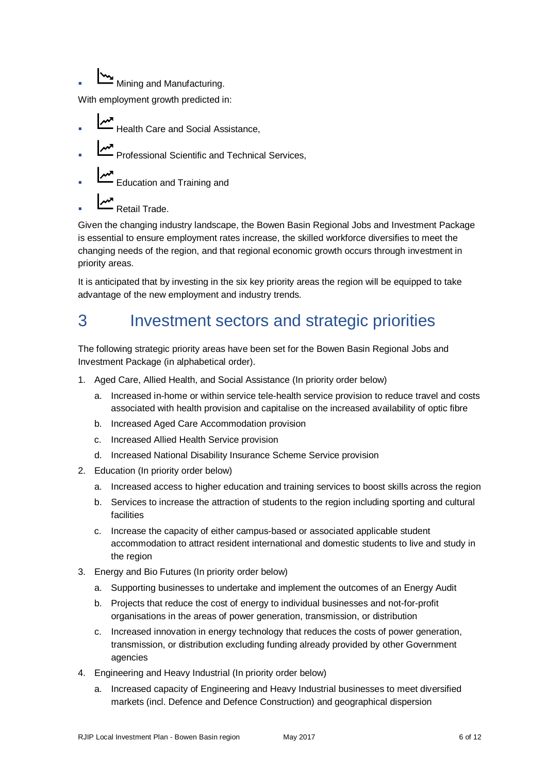Mining and Manufacturing.

With employment growth predicted in:

- Health Care and Social Assistance,
- Professional Scientific and Technical Services,
- Education and Training and
- **M**<br>Retail Trade.

Given the changing industry landscape, the Bowen Basin Regional Jobs and Investment Package is essential to ensure employment rates increase, the skilled workforce diversifies to meet the changing needs of the region, and that regional economic growth occurs through investment in priority areas.

It is anticipated that by investing in the six key priority areas the region will be equipped to take advantage of the new employment and industry trends.

# <span id="page-5-0"></span>3 Investment sectors and strategic priorities

<span id="page-5-2"></span><span id="page-5-1"></span>The following strategic priority areas have been set for the Bowen Basin Regional Jobs and Investment Package (in alphabetical order).

- <span id="page-5-6"></span><span id="page-5-5"></span><span id="page-5-4"></span><span id="page-5-3"></span>1. Aged Care, Allied Health, and Social Assistance (In priority order below)
	- a. Increased in-home or within service tele-health service provision to reduce travel and costs associated with health provision and capitalise on the increased availability of optic fibre
	- b. Increased Aged Care Accommodation provision
	- c. Increased Allied Health Service provision
	- d. Increased National Disability Insurance Scheme Service provision
- 2. Education (In priority order below)
	- a. Increased access to higher education and training services to boost skills across the region
	- b. Services to increase the attraction of students to the region including sporting and cultural facilities
	- c. Increase the capacity of either campus-based or associated applicable student accommodation to attract resident international and domestic students to live and study in the region
- 3. Energy and Bio Futures (In priority order below)
	- a. Supporting businesses to undertake and implement the outcomes of a[n Energy Audit](https://www.ergon.com.au/retail/business/business-resources/choosing-an-energy-efficiency-consultant)
	- b. Projects that reduce the cost of energy to individual businesses and not-for-profit organisations in the areas of power generation, transmission, or distribution
	- c. Increased innovation in energy technology that reduces the costs of power generation, transmission, or distribution excluding funding already provided by other Government agencies
- 4. Engineering and Heavy Industrial (In priority order below)
	- a. Increased capacity of Engineering and Heavy Industrial businesses to meet diversified markets (incl. Defence and Defence Construction) and geographical dispersion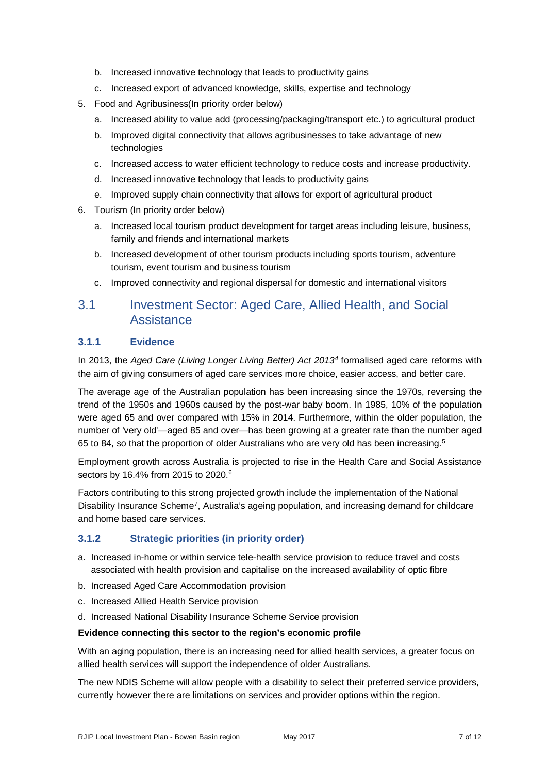- b. Increased innovative technology that leads to productivity gains
- c. Increased export of advanced knowledge, skills, expertise and technology
- 5. Food and Agribusiness(In priority order below)
	- a. Increased ability to value add (processing/packaging/transport etc.) to agricultural product
	- b. Improved digital connectivity that allows agribusinesses to take advantage of new technologies
	- c. Increased access to water efficient technology to reduce costs and increase productivity.
	- d. Increased innovative technology that leads to productivity gains
	- e. Improved supply chain connectivity that allows for export of agricultural product
- 6. Tourism (In priority order below)
	- a. Increased local tourism product development for target areas including leisure, business, family and friends and international markets
	- b. Increased development of other tourism products including sports tourism, adventure tourism, event tourism and business tourism
	- c. Improved connectivity and regional dispersal for domestic and international visitors

## 3.1 Investment Sector: Aged Care, Allied Health, and Social **Assistance**

#### **3.1.1 Evidence**

In 2013, the *Aged Care (Living Longer Living Better) Act 2013[4](#page-3-0)* formalised aged care reforms with the aim of giving consumers of aged care services more choice, easier access, and better care.

<span id="page-6-1"></span><span id="page-6-0"></span>The average age of the Australian population has been increasing since the 1970s, reversing the trend of the 1950s and 1960s caused by the post-war baby boom. In 1985, 10% of the population were aged 65 and over compared with 15% in 2014. Furthermore, within the older population, the number of 'very old'—aged 85 and over—has been growing at a greater rate than the number aged 6[5](#page-3-1) to 84, so that the proportion of older Australians who are very old has been increasing.<sup>5</sup>

<span id="page-6-6"></span><span id="page-6-5"></span><span id="page-6-4"></span><span id="page-6-3"></span><span id="page-6-2"></span>Employment growth across Australia is projected to rise in the Health Care and Social Assistance sectors by 1[6](#page-3-2).4% from 2015 to 2020.<sup>6</sup>

<span id="page-6-10"></span><span id="page-6-9"></span><span id="page-6-8"></span><span id="page-6-7"></span>Factors contributing to this strong projected growth include the implementation of the National Disability Insurance Scheme<sup>[7](#page-3-3)</sup>, Australia's ageing population, and increasing demand for childcare and home based care services.

#### **3.1.2 Strategic priorities (in priority order)**

- a. Increased in-home or within service tele-health service provision to reduce travel and costs associated with health provision and capitalise on the increased availability of optic fibre
- b. Increased Aged Care Accommodation provision
- c. Increased Allied Health Service provision
- d. Increased National Disability Insurance Scheme Service provision

#### **Evidence connecting this sector to the region's economic profile**

With an aging population, there is an increasing need for allied health services, a greater focus on allied health services will support the independence of older Australians.

The new NDIS Scheme will allow people with a disability to select their preferred service providers, currently however there are limitations on services and provider options within the region.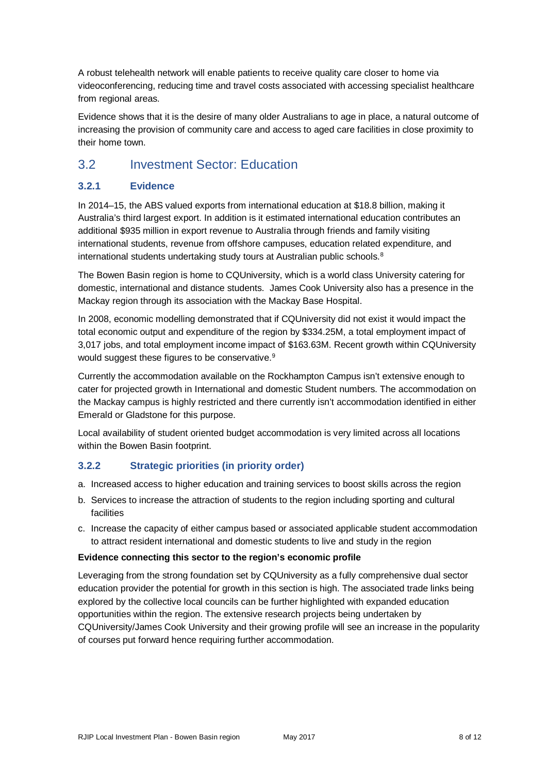A robust telehealth network will enable patients to receive quality care closer to home via videoconferencing, reducing time and travel costs associated with accessing specialist healthcare from regional areas.

Evidence shows that it is the desire of many older Australians to age in place, a natural outcome of increasing the provision of community care and access to aged care facilities in close proximity to their home town.

## 3.2 Investment Sector: Education

#### **3.2.1 Evidence**

In 2014–15, the ABS valued exports from international education at \$18.8 billion, making it Australia's third largest export. In addition is it estimated international education contributes an additional \$935 million in export revenue to Australia through friends and family visiting international students, revenue from offshore campuses, education related expenditure, and international students undertaking study tours at Australian public schools.<sup>[8](#page-4-0)</sup>

The Bowen Basin region is home to CQUniversity, which is a world class University catering for domestic, international and distance students. James Cook University also has a presence in the Mackay region through its association with the Mackay Base Hospital.

In 2008, economic modelling demonstrated that if CQUniversity did not exist it would impact the total economic output and expenditure of the region by \$334.25M, a total employment impact of 3,017 jobs, and total employment income impact of \$163.63M. Recent growth within CQUniversity would suggest these figures to be conservative.<sup>[9](#page-4-1)</sup>

Currently the accommodation available on the Rockhampton Campus isn't extensive enough to cater for projected growth in International and domestic Student numbers. The accommodation on the Mackay campus is highly restricted and there currently isn't accommodation identified in either Emerald or Gladstone for this purpose.

Local availability of student oriented budget accommodation is very limited across all locations within the Bowen Basin footprint.

#### **3.2.2 Strategic priorities (in priority order)**

- a. Increased access to higher education and training services to boost skills across the region
- b. Services to increase the attraction of students to the region including sporting and cultural facilities
- <span id="page-7-1"></span><span id="page-7-0"></span>c. Increase the capacity of either campus based or associated applicable student accommodation to attract resident international and domestic students to live and study in the region

#### <span id="page-7-2"></span>**Evidence connecting this sector to the region's economic profile**

Leveraging from the strong foundation set by CQUniversity as a fully comprehensive dual sector education provider the potential for growth in this section is high. The associated trade links being explored by the collective local councils can be further highlighted with expanded education opportunities within the region. The extensive research projects being undertaken by CQUniversity/James Cook University and their growing profile will see an increase in the popularity of courses put forward hence requiring further accommodation.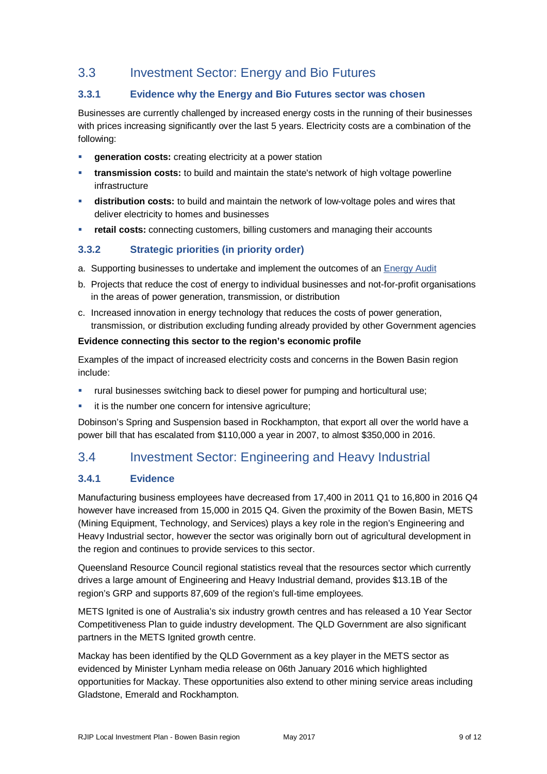## 3.3 Investment Sector: Energy and Bio Futures

#### **3.3.1 Evidence why the Energy and Bio Futures sector was chosen**

Businesses are currently challenged by increased energy costs in the running of their businesses with prices increasing significantly over the last 5 years. Electricity costs are a combination of the following:

- **generation costs:** creating electricity at a power station
- **transmission costs:** to build and maintain the state's network of high voltage powerline infrastructure
- **distribution costs:** to build and maintain the network of low-voltage poles and wires that deliver electricity to homes and businesses
- **retail costs:** connecting customers, billing customers and managing their accounts

#### **3.3.2 Strategic priorities (in priority order)**

- a. Supporting businesses to undertake and implement the outcomes of an [Energy Audit](https://www.ergon.com.au/retail/business/business-resources/choosing-an-energy-efficiency-consultant)
- b. Projects that reduce the cost of energy to individual businesses and not-for-profit organisations in the areas of power generation, transmission, or distribution
- c. Increased innovation in energy technology that reduces the costs of power generation, transmission, or distribution excluding funding already provided by other Government agencies

#### **Evidence connecting this sector to the region's economic profile**

Examples of the impact of increased electricity costs and concerns in the Bowen Basin region include:

- rural businesses switching back to diesel power for pumping and horticultural use;
- **it is the number one concern for intensive agriculture;**

Dobinson's Spring and Suspension based in Rockhampton, that export all over the world have a power bill that has escalated from \$110,000 a year in 2007, to almost \$350,000 in 2016.

## 3.4 Investment Sector: Engineering and Heavy Industrial

#### **3.4.1 Evidence**

Manufacturing business employees have decreased from 17,400 in 2011 Q1 to 16,800 in 2016 Q4 however have increased from 15,000 in 2015 Q4. Given the proximity of the Bowen Basin, METS (Mining Equipment, Technology, and Services) plays a key role in the region's Engineering and Heavy Industrial sector, however the sector was originally born out of agricultural development in the region and continues to provide services to this sector.

Queensland Resource Council regional statistics reveal that the resources sector which currently drives a large amount of Engineering and Heavy Industrial demand, provides \$13.1B of the region's GRP and supports 87,609 of the region's full-time employees.

METS Ignited is one of Australia's six industry growth centres and has released a 10 Year Sector Competitiveness Plan to guide industry development. The QLD Government are also significant partners in the METS Ignited growth centre.

Mackay has been identified by the QLD Government as a key player in the METS sector as evidenced by Minister Lynham media release on 06th January 2016 which highlighted opportunities for Mackay. These opportunities also extend to other mining service areas including Gladstone, Emerald and Rockhampton.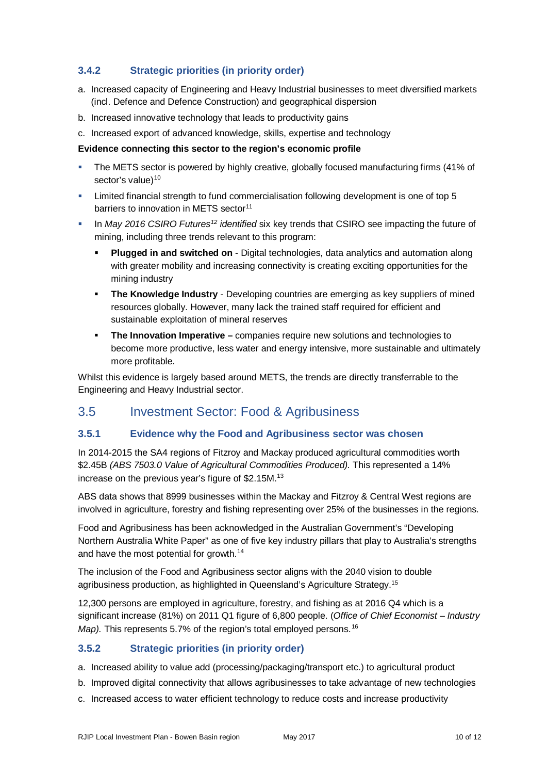### **3.4.2 Strategic priorities (in priority order)**

- a. Increased capacity of Engineering and Heavy Industrial businesses to meet diversified markets (incl. Defence and Defence Construction) and geographical dispersion
- b. Increased innovative technology that leads to productivity gains
- c. Increased export of advanced knowledge, skills, expertise and technology

#### **Evidence connecting this sector to the region's economic profile**

- The METS sector is powered by highly creative, globally focused manufacturing firms (41% of sector's value)<sup>[10](#page-5-0)</sup>
- Limited financial strength to fund commercialisation following development is one of top 5 barriers to innovation in METS sector<sup>[11](#page-5-1)</sup>
- In *May 2016 CSIRO Future[s12](#page-5-2) identified* six key trends that CSIRO see impacting the future of mining, including three trends relevant to this program:
	- **Plugged in and switched on** Digital technologies, data analytics and automation along with greater mobility and increasing connectivity is creating exciting opportunities for the mining industry
	- **The Knowledge Industry** Developing countries are emerging as key suppliers of mined resources globally. However, many lack the trained staff required for efficient and sustainable exploitation of mineral reserves
	- **The Innovation Imperative –** companies require new solutions and technologies to become more productive, less water and energy intensive, more sustainable and ultimately more profitable.

Whilst this evidence is largely based around METS, the trends are directly transferrable to the Engineering and Heavy Industrial sector.

## 3.5 Investment Sector: Food & Agribusiness

#### **3.5.1 Evidence why the Food and Agribusiness sector was chosen**

In 2014-2015 the SA4 regions of Fitzroy and Mackay produced agricultural commodities worth \$2.45B *(ABS 7503.0 Value of Agricultural Commodities Produced).* This represented a 14% increase on the previous year's figure of \$2.15M.<sup>[13](#page-5-3)</sup>

ABS data shows that 8999 businesses within the Mackay and Fitzroy & Central West regions are involved in agriculture, forestry and fishing representing over 25% of the businesses in the regions.

Food and Agribusiness has been acknowledged in the Australian Government's "Developing Northern Australia White Paper" as one of five key industry pillars that play to Australia's strengths and have the most potential for growth.<sup>[14](#page-5-4)</sup>

The inclusion of the Food and Agribusiness sector aligns with the 2040 vision to double agribusiness production, as highlighted in Queensland's Agriculture Strategy.<sup>15</sup>

12,300 persons are employed in agriculture, forestry, and fishing as at 2016 Q4 which is a significant increase (81%) on 2011 Q1 figure of 6,800 people. (*Office of Chief Economist – Industry Map*). This represents 5.7% of the region's total employed persons.<sup>[16](#page-5-6)</sup>

#### **3.5.2 Strategic priorities (in priority order)**

a. Increased ability to value add (processing/packaging/transport etc.) to agricultural product

- b. Improved digital connectivity that allows agribusinesses to take advantage of new technologies
- c. Increased access to water efficient technology to reduce costs and increase productivity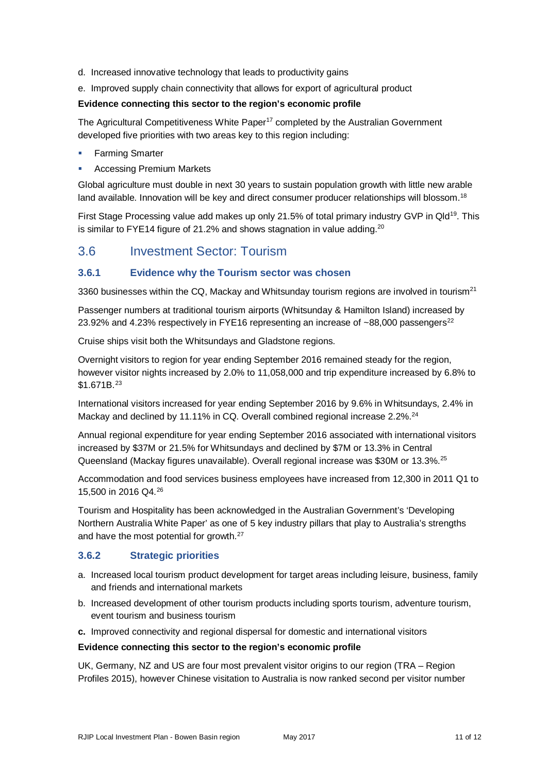- d. Increased innovative technology that leads to productivity gains
- e. Improved supply chain connectivity that allows for export of agricultural product

#### **Evidence connecting this sector to the region's economic profile**

The Agricultural Competitiveness White Paper<sup>[17](#page-6-0)</sup> completed by the Australian Government developed five priorities with two areas key to this region including:

- **Farming Smarter**
- Accessing Premium Markets

Global agriculture must double in next 30 years to sustain population growth with little new arable land available. Innovation will be key and direct consumer producer relationships will blossom.<sup>[18](#page-6-1)</sup>

First Stage Processing value add makes up only 21.5% of total primary industry GVP in Qld<sup>[19](#page-6-2)</sup>. This is similar to FYE14 figure of 21.2% and shows stagnation in value adding.<sup>[20](#page-6-3)</sup>

### 3.6 Investment Sector: Tourism

#### **3.6.1 Evidence why the Tourism sector was chosen**

3360 businesses within the CQ, Mackay and Whitsunday tourism regions are involved in tourism<sup>[21](#page-6-4)</sup>

Passenger numbers at traditional tourism airports (Whitsunday & Hamilton Island) increased by 23.92% and 4.23% respectively in FYE16 representing an increase of  $\sim$ 88,000 passengers<sup>[22](#page-6-5)</sup>

Cruise ships visit both the Whitsundays and Gladstone regions.

Overnight visitors to region for year ending September 2016 remained steady for the region, however visitor nights increased by 2.0% to 11,058,000 and trip expenditure increased by 6.8% to \$1.671B.[23](#page-6-6)

International visitors increased for year ending September 2016 by 9.6% in Whitsundays, 2.4% in Mackay and declined by 11.11% in CQ. Overall combined regional increase 2.2%.<sup>24</sup>

Annual regional expenditure for year ending September 2016 associated with international visitors increased by \$37M or 21.5% for Whitsundays and declined by \$7M or 13.3% in Central Queensland (Mackay figures unavailable). Overall regional increase was \$30M or 13.3%.[25](#page-6-8)

Accommodation and food services business employees have increased from 12,300 in 2011 Q1 to 15,500 in 2016 Q4.[26](#page-6-9)

Tourism and Hospitality has been acknowledged in the Australian Government's 'Developing Northern Australia White Paper' as one of 5 key industry pillars that play to Australia's strengths and have the most potential for growth.<sup>[27](#page-6-10)</sup>

#### **3.6.2 Strategic priorities**

- a. Increased local tourism product development for target areas including leisure, business, family and friends and international markets
- b. Increased development of other tourism products including sports tourism, adventure tourism, event tourism and business tourism
- **c.** Improved connectivity and regional dispersal for domestic and international visitors

#### **Evidence connecting this sector to the region's economic profile**

UK, Germany, NZ and US are four most prevalent visitor origins to our region (TRA – Region Profiles 2015), however Chinese visitation to Australia is now ranked second per visitor number